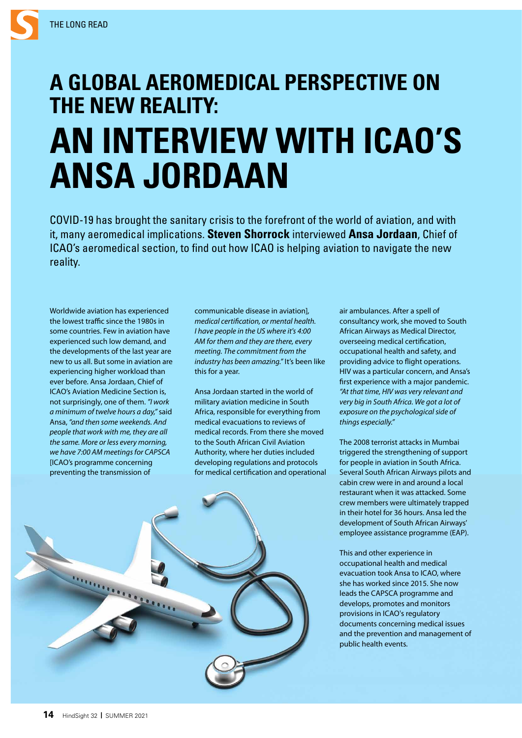## **A GLOBAL AEROMEDICAL PERSPECTIVE ON THE NEW REALITY: AN INTERVIEW WITH ICAO'S ANSA JORDAAN**

COVID-19 has brought the sanitary crisis to the forefront of the world of aviation, and with it, many aeromedical implications. **Steven Shorrock** interviewed **Ansa Jordaan**, Chief of ICAO's aeromedical section, to find out how ICAO is helping aviation to navigate the new reality.

Worldwide aviation has experienced the lowest traffic since the 1980s in some countries. Few in aviation have experienced such low demand, and the developments of the last year are new to us all. But some in aviation are experiencing higher workload than ever before. Ansa Jordaan, Chief of ICAO's Aviation Medicine Section is, not surprisingly, one of them. *"I work a minimum of twelve hours a day,"* said Ansa, *"and then some weekends. And people that work with me, they are all the same. More or less every morning, we have 7:00 AM meetings for CAPSCA*  [ICAO's programme concerning preventing the transmission of

communicable disease in aviation]*, medical certification, or mental health. I have people in the US where it's 4:00 AM for them and they are there, every meeting. The commitment from the industry has been amazing."* It's been like this for a year.

Ansa Jordaan started in the world of military aviation medicine in South Africa, responsible for everything from medical evacuations to reviews of medical records. From there she moved to the South African Civil Aviation Authority, where her duties included developing regulations and protocols for medical certification and operational air ambulances. After a spell of consultancy work, she moved to South African Airways as Medical Director, overseeing medical certification, occupational health and safety, and providing advice to flight operations. HIV was a particular concern, and Ansa's first experience with a major pandemic. *"At that time, HIV was very relevant and very big in South Africa. We got a lot of exposure on the psychological side of things especially."*

The 2008 terrorist attacks in Mumbai triggered the strengthening of support for people in aviation in South Africa. Several South African Airways pilots and cabin crew were in and around a local restaurant when it was attacked. Some crew members were ultimately trapped in their hotel for 36 hours. Ansa led the development of South African Airways' employee assistance programme (EAP).

This and other experience in occupational health and medical evacuation took Ansa to ICAO, where she has worked since 2015. She now leads the CAPSCA programme and develops, promotes and monitors provisions in ICAO's regulatory documents concerning medical issues and the prevention and management of public health events.

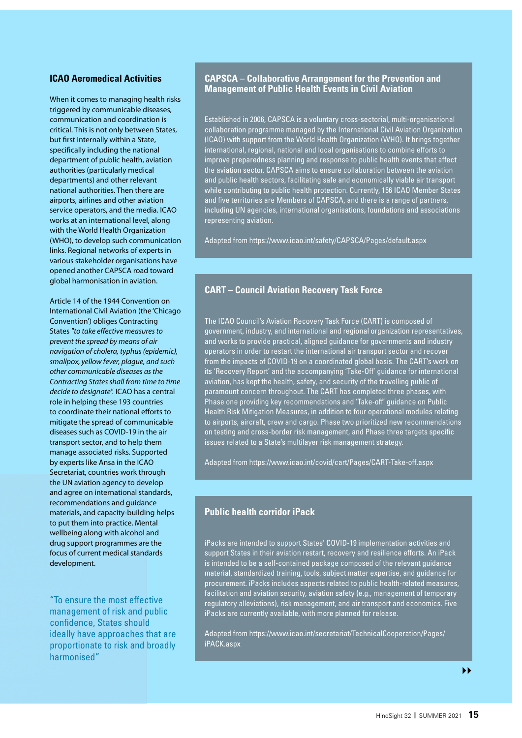#### **ICAO Aeromedical Activities**

When it comes to managing health risks triggered by communicable diseases, communication and coordination is critical. This is not only between States, but first internally within a State, specifically including the national department of public health, aviation authorities (particularly medical departments) and other relevant national authorities. Then there are airports, airlines and other aviation service operators, and the media. ICAO works at an international level, along with the World Health Organization (WHO), to develop such communication links. Regional networks of experts in various stakeholder organisations have opened another CAPSCA road toward global harmonisation in aviation.

Article 14 of the 1944 Convention on International Civil Aviation (the 'Chicago Convention') obliges Contracting States *"to take e*ff*ective measures to prevent the spread by means of air navigation of cholera, typhus (epidemic), smallpox, yellow fever, plague, and such other communicable diseases as the Contracting States shall from time to time decide to designate".* ICAO has a central role in helping these 193 countries to coordinate their national efforts to mitigate the spread of communicable diseases such as COVID-19 in the air transport sector, and to help them manage associated risks. Supported by experts like Ansa in the ICAO Secretariat, countries work through the UN aviation agency to develop and agree on international standards, recommendations and guidance materials, and capacity-building helps to put them into practice. Mental wellbeing along with alcohol and drug support programmes are the focus of current medical standards development.

"To ensure the most effective management of risk and public confidence, States should ideally have approaches that are proportionate to risk and broadly harmonised"

#### **CAPSCA – Collaborative Arrangement for the Prevention and Management of Public Health Events in Civil Aviation**

Established in 2006, CAPSCA is a voluntary cross-sectorial, multi-organisational collaboration programme managed by the International Civil Aviation Organization (ICAO) with support from the World Health Organization (WHO). It brings together international, regional, national and local organisations to combine efforts to improve preparedness planning and response to public health events that affect the aviation sector. CAPSCA aims to ensure collaboration between the aviation and public health sectors, facilitating safe and economically viable air transport while contributing to public health protection. Currently, 156 ICAO Member States and five territories are Members of CAPSCA, and there is a range of partners, including UN agencies, international organisations, foundations and associations representing aviation.

Adapted from<https://www.icao.int/safety/CAPSCA/Pages/default.aspx>

#### **CART – Council Aviation Recovery Task Force**

The ICAO Council's Aviation Recovery Task Force (CART) is composed of government, industry, and international and regional organization representatives, and works to provide practical, aligned guidance for governments and industry operators in order to restart the international air transport sector and recover from the impacts of COVID-19 on a coordinated global basis. The CART's work on its 'Recovery Report' and the accompanying 'Take-Off' guidance for international aviation, has kept the health, safety, and security of the travelling public of paramount concern throughout. The CART has completed three phases, with Phase one providing key recommendations and 'Take-off' guidance on Public Health Risk Mitigation Measures, in addition to four operational modules relating to airports, aircraft, crew and cargo. Phase two prioritized new recommendations on testing and cross-border risk management, and Phase three targets specific issues related to a State's multilayer risk management strategy.

Adapted from<https://www.icao.int/covid/cart/Pages/CART-Take-off.aspx>

#### **Public health corridor iPack**

iPacks are intended to support States' COVID-19 implementation activities and support States in their aviation restart, recovery and resilience efforts. An iPack is intended to be a self-contained package composed of the relevant guidance material, standardized training, tools, subject matter expertise, and guidance for procurement. iPacks includes aspects related to public health-related measures, facilitation and aviation security, aviation safety (e.g., management of temporary regulatory alleviations), risk management, and air transport and economics. Five iPacks are currently available, with more planned for release.

Adapted from [https://www.icao.int/secretariat/TechnicalCooperation/Pages/](https://www.icao.int/secretariat/TechnicalCooperation/Pages/iPACK.aspx) [iPACK.aspx](https://www.icao.int/secretariat/TechnicalCooperation/Pages/iPACK.aspx)

 $\blacktriangleright$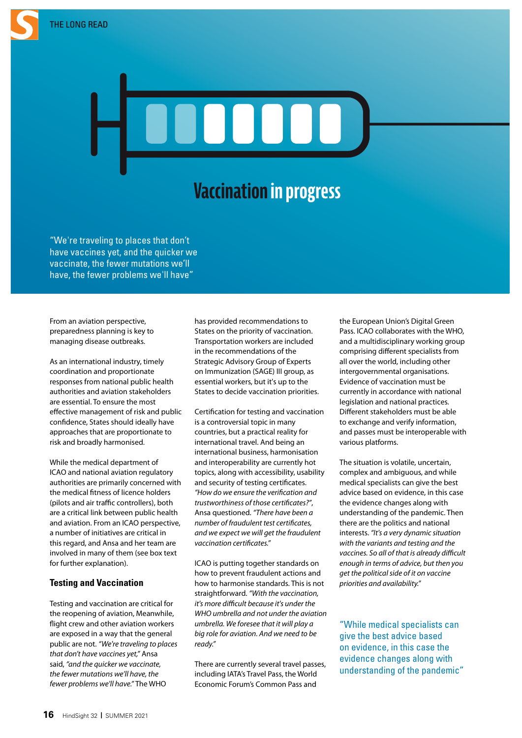

# UUUUU,

### **Vaccination in progress**

"We're traveling to places that don't have vaccines yet, and the quicker we vaccinate, the fewer mutations we'll have, the fewer problems we'll have"

From an aviation perspective, preparedness planning is key to managing disease outbreaks.

As an international industry, timely coordination and proportionate responses from national public health authorities and aviation stakeholders are essential. To ensure the most effective management of risk and public confidence, States should ideally have approaches that are proportionate to risk and broadly harmonised.

While the medical department of ICAO and national aviation regulatory authorities are primarily concerned with the medical fitness of licence holders (pilots and air traffic controllers), both are a critical link between public health and aviation. From an ICAO perspective, a number of initiatives are critical in this regard, and Ansa and her team are involved in many of them (see box text for further explanation).

#### **Testing and Vaccination**

Testing and vaccination are critical for the reopening of aviation, Meanwhile, flight crew and other aviation workers are exposed in a way that the general public are not. *"We're traveling to places that don't have vaccines yet,"* Ansa said, *"and the quicker we vaccinate, the fewer mutations we'll have, the fewer problems we'll have."* The WHO

has provided recommendations to States on the priority of vaccination. Transportation workers are included in the recommendations of the Strategic Advisory Group of Experts on Immunization (SAGE) III group, as essential workers, but it's up to the States to decide vaccination priorities.

Certification for testing and vaccination is a controversial topic in many countries, but a practical reality for international travel. And being an international business, harmonisation and interoperability are currently hot topics, along with accessibility, usability and security of testing certificates. *"How do we ensure the verification and trustworthiness of those certificates?"*, Ansa questioned. *"There have been a number of fraudulent test certificates, and we expect we will get the fraudulent vaccination certificates."*

ICAO is putting together standards on how to prevent fraudulent actions and how to harmonise standards. This is not straightforward. *"With the vaccination, it's more di*ffi*cult because it's under the WHO umbrella and not under the aviation umbrella. We foresee that it will play a big role for aviation. And we need to be ready."*

There are currently several travel passes, including IATA's Travel Pass, the World Economic Forum's Common Pass and

the European Union's Digital Green Pass. ICAO collaborates with the WHO, and a multidisciplinary working group comprising different specialists from all over the world, including other intergovernmental organisations. Evidence of vaccination must be currently in accordance with national legislation and national practices. Different stakeholders must be able to exchange and verify information, and passes must be interoperable with various platforms.

The situation is volatile, uncertain, complex and ambiguous, and while medical specialists can give the best advice based on evidence, in this case the evidence changes along with understanding of the pandemic. Then there are the politics and national interests. *"It's a very dynamic situation with the variants and testing and the vaccines. So all of that is already di*ffi*cult enough in terms of advice, but then you get the political side of it on vaccine priorities and availability."*

"While medical specialists can give the best advice based on evidence, in this case the evidence changes along with understanding of the pandemic"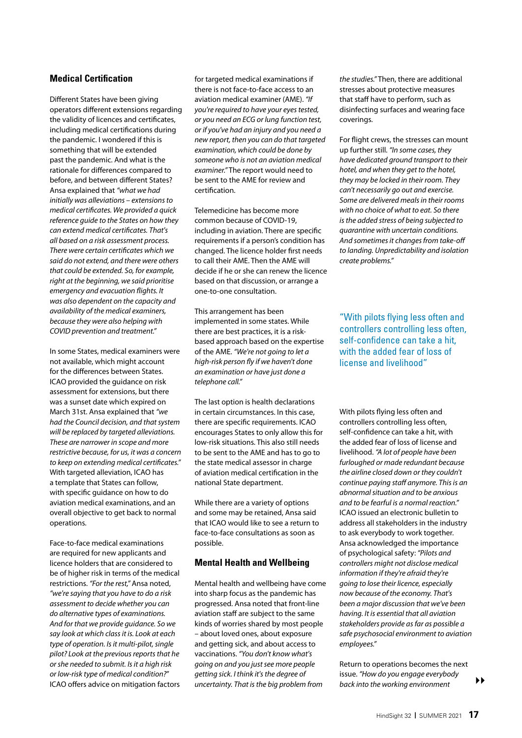#### **Medical Certification**

Different States have been giving operators different extensions regarding the validity of licences and certificates, including medical certifications during the pandemic. I wondered if this is something that will be extended past the pandemic. And what is the rationale for differences compared to before, and between different States? Ansa explained that *"what we had initially was alleviations – extensions to medical certificates. We provided a quick reference guide to the States on how they can extend medical certificates. That's all based on a risk assessment process. There were certain certificates which we said do not extend, and there were others that could be extended. So, for example, right at the beginning, we said prioritise emergency and evacuation flights. It was also dependent on the capacity and availability of the medical examiners, because they were also helping with COVID prevention and treatment."*

In some States, medical examiners were not available, which might account for the differences between States. ICAO provided the guidance on risk assessment for extensions, but there was a sunset date which expired on March 31st. Ansa explained that *"we had the Council decision, and that system will be replaced by targeted alleviations. These are narrower in scope and more restrictive because, for us, it was a concern to keep on extending medical certificates."* With targeted alleviation, ICAO has a template that States can follow, with specific guidance on how to do aviation medical examinations, and an overall objective to get back to normal operations.

Face-to-face medical examinations are required for new applicants and licence holders that are considered to be of higher risk in terms of the medical restrictions. *"For the rest,"* Ansa noted, *"we're saying that you have to do a risk assessment to decide whether you can do alternative types of examinations. And for that we provide guidance. So we say look at which class it is. Look at each type of operation. Is it multi-pilot, single pilot? Look at the previous reports that he or she needed to submit. Is it a high risk or low-risk type of medical condition?*" ICAO offers advice on mitigation factors

for targeted medical examinations if there is not face-to-face access to an aviation medical examiner (AME). *"If you're required to have your eyes tested, or you need an ECG or lung function test, or if you've had an injury and you need a new report, then you can do that targeted examination, which could be done by someone who is not an aviation medical examiner."* The report would need to be sent to the AME for review and certification.

Telemedicine has become more common because of COVID-19, including in aviation. There are specific requirements if a person's condition has changed. The licence holder first needs to call their AME. Then the AME will decide if he or she can renew the licence based on that discussion, or arrange a one-to-one consultation.

This arrangement has been implemented in some states. While there are best practices, it is a riskbased approach based on the expertise of the AME. *"We're not going to let a high-risk person fly if we haven't done an examination or have just done a telephone call."*

The last option is health declarations in certain circumstances. In this case, there are specific requirements. ICAO encourages States to only allow this for low-risk situations. This also still needs to be sent to the AME and has to go to the state medical assessor in charge of aviation medical certification in the national State department.

While there are a variety of options and some may be retained, Ansa said that ICAO would like to see a return to face-to-face consultations as soon as possible.

#### **Mental Health and Wellbeing**

Mental health and wellbeing have come into sharp focus as the pandemic has progressed. Ansa noted that front-line aviation staff are subject to the same kinds of worries shared by most people – about loved ones, about exposure and getting sick, and about access to vaccinations. *"You don't know what's going on and you just see more people getting sick. I think it's the degree of uncertainty. That is the big problem from* 

*the studies."* Then, there are additional stresses about protective measures that staff have to perform, such as disinfecting surfaces and wearing face coverings.

For flight crews, the stresses can mount up further still. *"In some cases, they have dedicated ground transport to their hotel, and when they get to the hotel, they may be locked in their room. They can't necessarily go out and exercise. Some are delivered meals in their rooms with no choice of what to eat. So there is the added stress of being subjected to quarantine with uncertain conditions. And sometimes it changes from take-o*ff *to landing. Unpredictability and isolation create problems."* 

"With pilots flying less often and controllers controlling less often, self-confidence can take a hit, with the added fear of loss of license and livelihood"

With pilots flying less often and controllers controlling less often, self-confidence can take a hit, with the added fear of loss of license and livelihood. *"A lot of people have been furloughed or made redundant because the airline closed down or they couldn't continue paying sta*ff *anymore. This is an abnormal situation and to be anxious and to be fearful is a normal reaction."*  ICAO issued an electronic bulletin to address all stakeholders in the industry to ask everybody to work together. Ansa acknowledged the importance of psychological safety: *"Pilots and controllers might not disclose medical information if they're afraid they're going to lose their licence, especially now because of the economy. That's been a major discussion that we've been having. It is essential that all aviation stakeholders provide as far as possible a safe psychosocial environment to aviation employees."*

Return to operations becomes the next issue. *"How do you engage everybody back into the working environment*   $\blacktriangleright\blacktriangleright$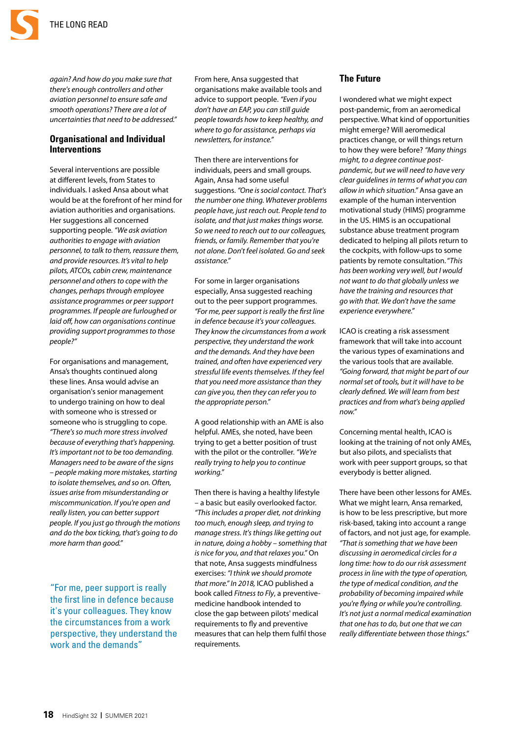

*again? And how do you make sure that there's enough controllers and other aviation personnel to ensure safe and smooth operations? There are a lot of uncertainties that need to be addressed."* 

#### **Organisational and Individual Interventions**

Several interventions are possible at different levels, from States to individuals. I asked Ansa about what would be at the forefront of her mind for aviation authorities and organisations. Her suggestions all concerned supporting people. *"We ask aviation authorities to engage with aviation personnel, to talk to them, reassure them, and provide resources. It's vital to help pilots, ATCOs, cabin crew, maintenance personnel and others to cope with the changes, perhaps through employee assistance programmes or peer support programmes. If people are furloughed or laid o*ff*, how can organisations continue providing support programmes to those people?"*

For organisations and management, Ansa's thoughts continued along these lines. Ansa would advise an organisation's senior management to undergo training on how to deal with someone who is stressed or someone who is struggling to cope. *"There's so much more stress involved because of everything that's happening. It's important not to be too demanding. Managers need to be aware of the signs – people making more mistakes, starting to isolate themselves, and so on. Often, issues arise from misunderstanding or miscommunication. If you're open and really listen, you can better support people. If you just go through the motions and do the box ticking, that's going to do more harm than good."*

"For me, peer support is really the first line in defence because it's your colleagues. They know the circumstances from a work perspective, they understand the work and the demands"

From here, Ansa suggested that organisations make available tools and advice to support people. *"Even if you don't have an EAP, you can still guide people towards how to keep healthy, and where to go for assistance, perhaps via newsletters, for instance."* 

Then there are interventions for individuals, peers and small groups. Again, Ansa had some useful suggestions. *"One is social contact. That's the number one thing. Whatever problems people have, just reach out. People tend to isolate, and that just makes things worse. So we need to reach out to our colleagues, friends, or family. Remember that you're not alone. Don't feel isolated. Go and seek assistance."*

For some in larger organisations especially, Ansa suggested reaching out to the peer support programmes. *"For me, peer support is really the first line in defence because it's your colleagues. They know the circumstances from a work perspective, they understand the work and the demands. And they have been trained, and often have experienced very stressful life events themselves. If they feel that you need more assistance than they can give you, then they can refer you to the appropriate person."* 

A good relationship with an AME is also helpful. AMEs, she noted, have been trying to get a better position of trust with the pilot or the controller. *"We're really trying to help you to continue working."*

Then there is having a healthy lifestyle – a basic but easily overlooked factor. *"This includes a proper diet, not drinking too much, enough sleep, and trying to manage stress. It's things like getting out in nature, doing a hobby – something that is nice for you, and that relaxes you."* On that note, Ansa suggests mindfulness exercises: *"I think we should promote that more." In 2018,* ICAO published a book called *Fitness to Fly*, a preventivemedicine handbook intended to close the gap between pilots' medical requirements to fly and preventive measures that can help them fulfil those requirements.

#### **The Future**

I wondered what we might expect post-pandemic, from an aeromedical perspective. What kind of opportunities might emerge? Will aeromedical practices change, or will things return to how they were before? *"Many things might, to a degree continue postpandemic, but we will need to have very clear guidelines in terms of what you can allow in which situation."* Ansa gave an example of the human intervention motivational study (HIMS) programme in the US. HIMS is an occupational substance abuse treatment program dedicated to helping all pilots return to the cockpits, with follow-ups to some patients by remote consultation. "*This has been working very well, but I would not want to do that globally unless we have the training and resources that go with that. We don't have the same experience everywhere."*

ICAO is creating a risk assessment framework that will take into account the various types of examinations and the various tools that are available. *"Going forward, that might be part of our normal set of tools, but it will have to be clearly defined. We will learn from best practices and from what's being applied now."*

Concerning mental health, ICAO is looking at the training of not only AMEs, but also pilots, and specialists that work with peer support groups, so that everybody is better aligned.

There have been other lessons for AMEs. What we might learn, Ansa remarked, is how to be less prescriptive, but more risk-based, taking into account a range of factors, and not just age, for example. *"That is something that we have been discussing in aeromedical circles for a long time: how to do our risk assessment process in line with the type of operation, the type of medical condition, and the probability of becoming impaired while you're flying or while you're controlling. It's not just a normal medical examination that one has to do, but one that we can really di*ff*erentiate between those things."*